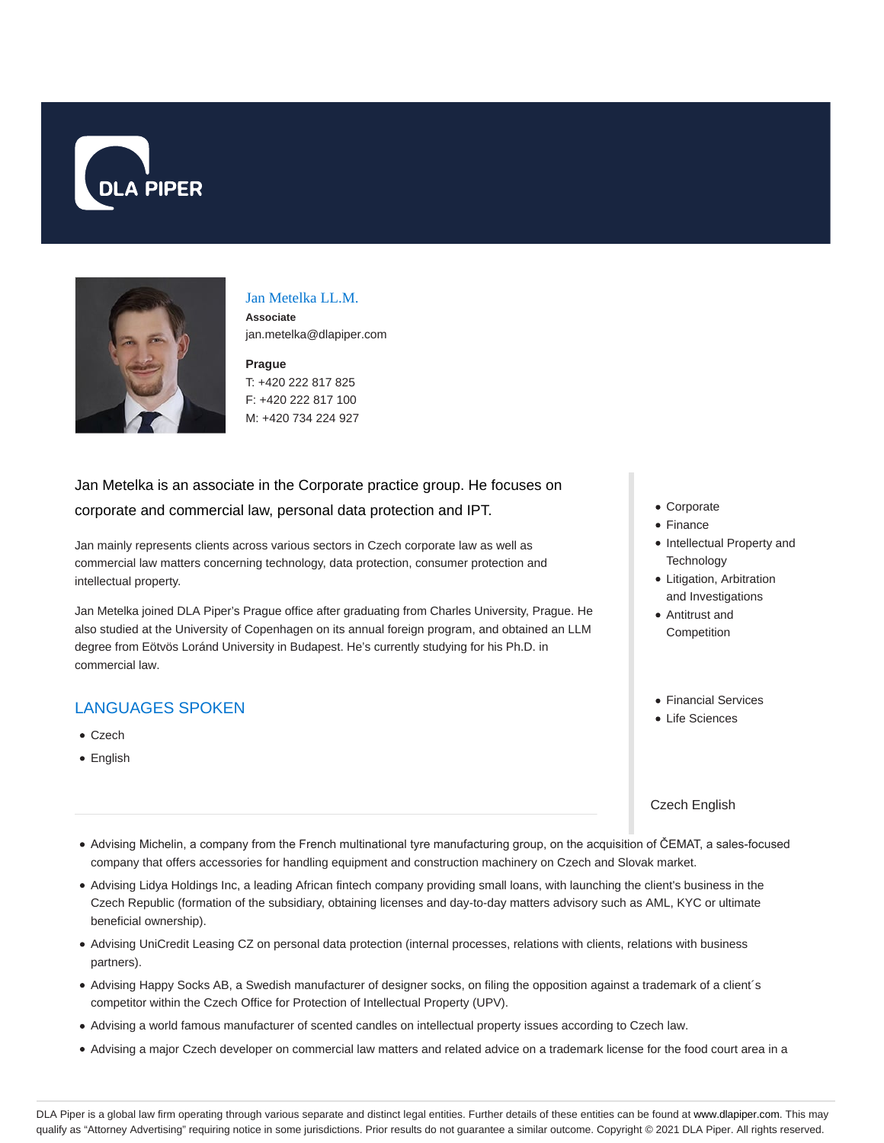



#### Jan Metelka LL.M.

**Associate** jan.metelka@dlapiper.com

#### **Prague**

T: +420 222 817 825 F: +420 222 817 100 M: +420 734 224 927

# Jan Metelka is an associate in the Corporate practice group. He focuses on corporate and commercial law, personal data protection and IPT.

Jan mainly represents clients across various sectors in Czech corporate law as well as commercial law matters concerning technology, data protection, consumer protection and intellectual property.

Jan Metelka joined DLA Piper's Prague office after graduating from Charles University, Prague. He also studied at the University of Copenhagen on its annual foreign program, and obtained an LLM degree from Eötvös Loránd University in Budapest. He's currently studying for his Ph.D. in commercial law.

# LANGUAGES SPOKEN

- Czech
- **•** English
- Corporate
- Finance
- Intellectual Property and **Technology**
- Litigation, Arbitration and Investigations
- Antitrust and
- **Competition**
- Financial Services
- **•** Life Sciences

Czech English

- Advising Michelin, a company from the French multinational tyre manufacturing group, on the acquisition of ČEMAT, a sales-focused company that offers accessories for handling equipment and construction machinery on Czech and Slovak market.
- Advising Lidya Holdings Inc, a leading African fintech company providing small loans, with launching the client's business in the Czech Republic (formation of the subsidiary, obtaining licenses and day-to-day matters advisory such as AML, KYC or ultimate beneficial ownership).
- Advising UniCredit Leasing CZ on personal data protection (internal processes, relations with clients, relations with business partners).
- Advising Happy Socks AB, a Swedish manufacturer of designer socks, on filing the opposition against a trademark of a client´s competitor within the Czech Office for Protection of Intellectual Property (UPV).
- Advising a world famous manufacturer of scented candles on intellectual property issues according to Czech law.
- Advising a major Czech developer on commercial law matters and related advice on a trademark license for the food court area in a